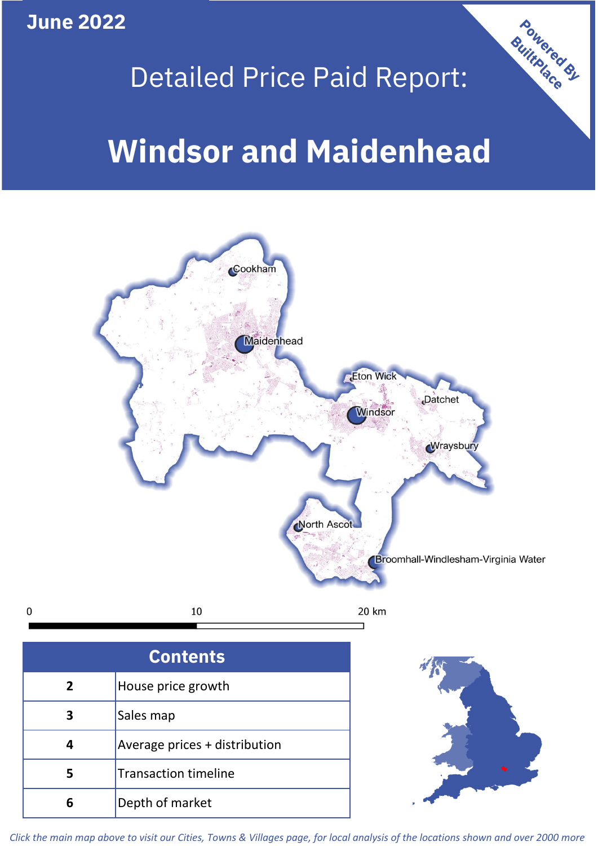**June 2022**

 $\mathbf 0$ 

# Powered By Detailed Price Paid Report: **Windsor and Maidenhead**



| <b>Contents</b> |                               |  |  |
|-----------------|-------------------------------|--|--|
| $\mathbf{2}$    | House price growth            |  |  |
| 3               | Sales map                     |  |  |
|                 | Average prices + distribution |  |  |
| 5               | <b>Transaction timeline</b>   |  |  |
|                 | Depth of market               |  |  |



*Click the main map above to visit our Cities, Towns & Villages page, for local analysis of the locations shown and over 2000 more*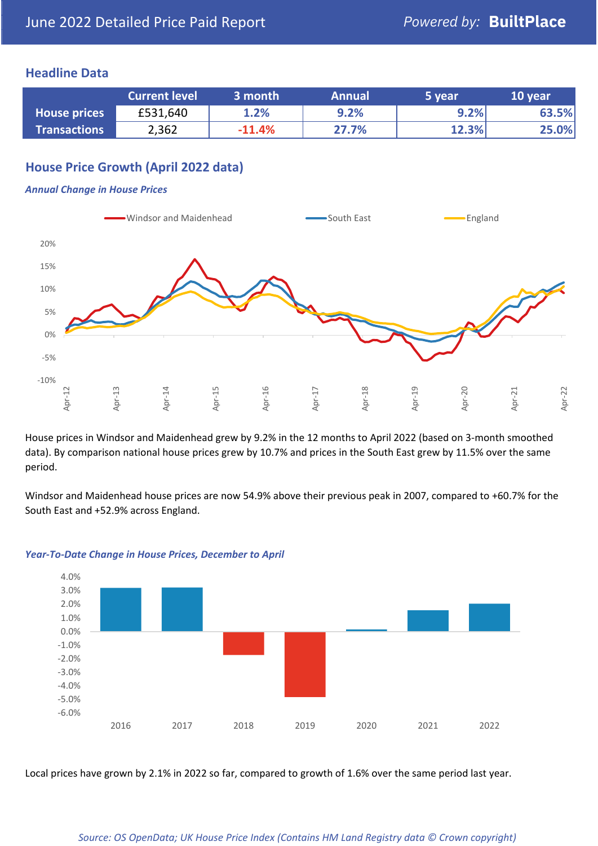## **Headline Data**

|                     | <b>Current level</b> | 3 month  | <b>Annual</b> | 5 year | 10 year |
|---------------------|----------------------|----------|---------------|--------|---------|
| <b>House prices</b> | £531,640             | 1.2%     | 9.2%          | 9.2%   | 63.5%   |
| <b>Transactions</b> | 2,362                | $-11.4%$ | 27.7%         | 12.3%  | 25.0%   |

## **House Price Growth (April 2022 data)**

#### *Annual Change in House Prices*



House prices in Windsor and Maidenhead grew by 9.2% in the 12 months to April 2022 (based on 3-month smoothed data). By comparison national house prices grew by 10.7% and prices in the South East grew by 11.5% over the same period.

Windsor and Maidenhead house prices are now 54.9% above their previous peak in 2007, compared to +60.7% for the South East and +52.9% across England.



#### *Year-To-Date Change in House Prices, December to April*

Local prices have grown by 2.1% in 2022 so far, compared to growth of 1.6% over the same period last year.

#### *Source: OS OpenData; UK House Price Index (Contains HM Land Registry data © Crown copyright)*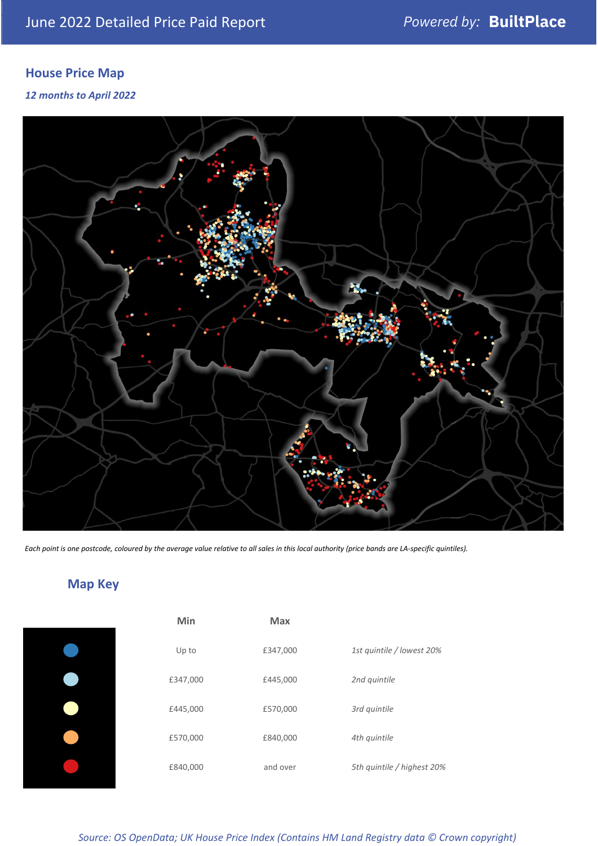# **House Price Map**

*12 months to April 2022*



*Each point is one postcode, coloured by the average value relative to all sales in this local authority (price bands are LA-specific quintiles).*

# **Map Key**

| Min      | Max      |                            |
|----------|----------|----------------------------|
| Up to    | £347,000 | 1st quintile / lowest 20%  |
| £347,000 | £445,000 | 2nd quintile               |
| £445,000 | £570,000 | 3rd quintile               |
| £570,000 | £840,000 | 4th quintile               |
| £840,000 | and over | 5th quintile / highest 20% |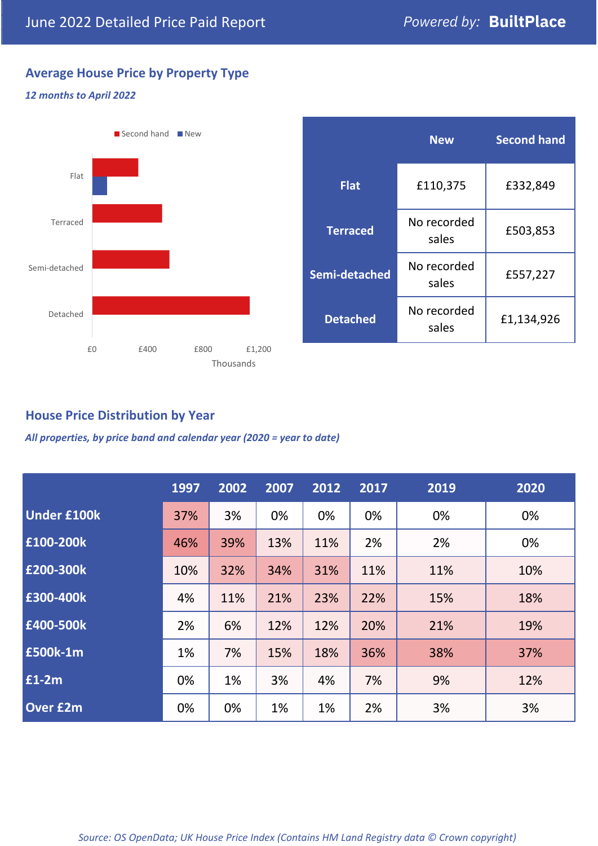# **Average House Price by Property Type**

## *12 months to April 2022*



|                 | <b>New</b>           | <b>Second hand</b> |  |
|-----------------|----------------------|--------------------|--|
| <b>Flat</b>     | £110,375             | £332,849           |  |
| <b>Terraced</b> | No recorded<br>sales | £503,853           |  |
| Semi-detached   | No recorded<br>sales | £557,227           |  |
| <b>Detached</b> | No recorded<br>sales | £1,134,926         |  |

## **House Price Distribution by Year**

*All properties, by price band and calendar year (2020 = year to date)*

|                    | 1997 | 2002 | 2007 | 2012 | 2017 | 2019 | 2020 |
|--------------------|------|------|------|------|------|------|------|
| <b>Under £100k</b> | 37%  | 3%   | 0%   | 0%   | 0%   | 0%   | 0%   |
| £100-200k          | 46%  | 39%  | 13%  | 11%  | 2%   | 2%   | 0%   |
| E200-300k          | 10%  | 32%  | 34%  | 31%  | 11%  | 11%  | 10%  |
| £300-400k          | 4%   | 11%  | 21%  | 23%  | 22%  | 15%  | 18%  |
| £400-500k          | 2%   | 6%   | 12%  | 12%  | 20%  | 21%  | 19%  |
| <b>£500k-1m</b>    | 1%   | 7%   | 15%  | 18%  | 36%  | 38%  | 37%  |
| £1-2m              | 0%   | 1%   | 3%   | 4%   | 7%   | 9%   | 12%  |
| <b>Over £2m</b>    | 0%   | 0%   | 1%   | 1%   | 2%   | 3%   | 3%   |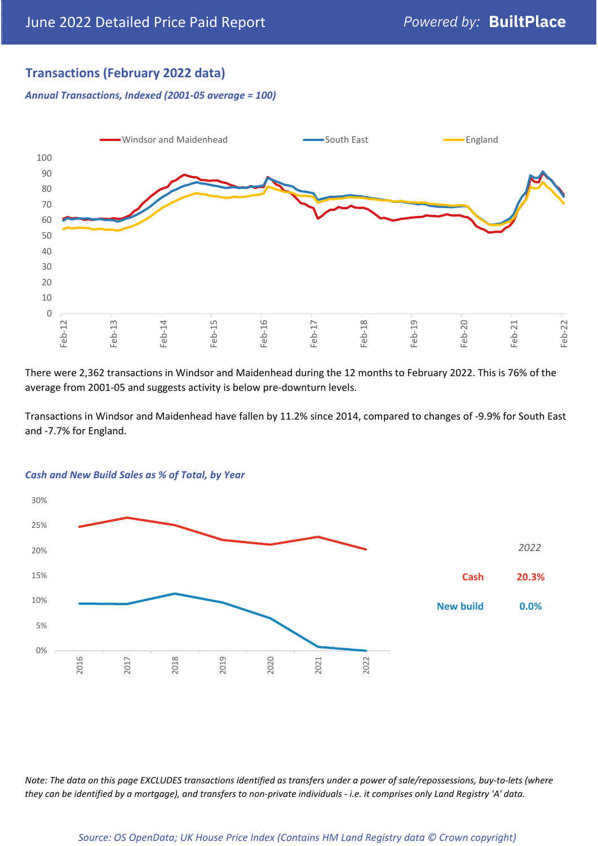## **Transactions (February 2022 data)**

*Annual Transactions, Indexed (2001-05 average = 100)*



There were 2,362 transactions in Windsor and Maidenhead during the 12 months to February 2022. This is 76% of the average from 2001-05 and suggests activity is below pre-downturn levels.

Transactions in Windsor and Maidenhead have fallen by 11.2% since 2014, compared to changes of -9.9% for South East and -7.7% for England.



#### *Cash and New Build Sales as % of Total, by Year*

*Note: The data on this page EXCLUDES transactions identified as transfers under a power of sale/repossessions, buy-to-lets (where they can be identified by a mortgage), and transfers to non-private individuals - i.e. it comprises only Land Registry 'A' data.*